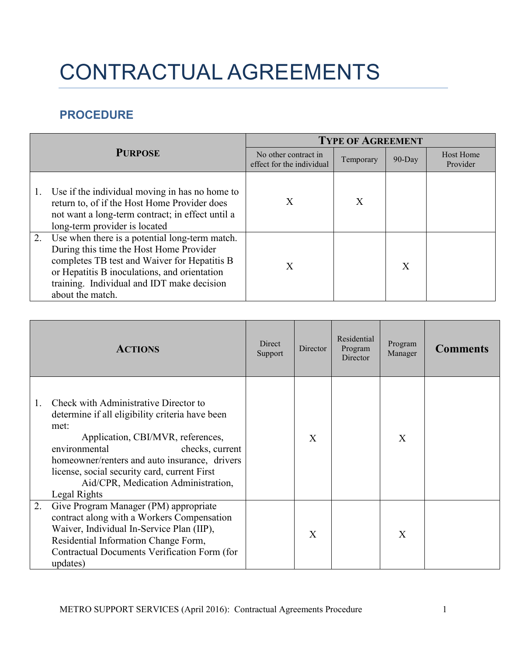## CONTRACTUAL AGREEMENTS

## **PROCEDURE**

| <b>PURPOSE</b> |                                                                                                                                                                                                                                                             | <b>TYPE OF AGREEMENT</b>                          |           |           |                              |  |
|----------------|-------------------------------------------------------------------------------------------------------------------------------------------------------------------------------------------------------------------------------------------------------------|---------------------------------------------------|-----------|-----------|------------------------------|--|
|                |                                                                                                                                                                                                                                                             | No other contract in<br>effect for the individual | Temporary | $90$ -Day | <b>Host Home</b><br>Provider |  |
|                | Use if the individual moving in has no home to<br>return to, of if the Host Home Provider does<br>not want a long-term contract; in effect until a<br>long-term provider is located                                                                         | X                                                 | X         |           |                              |  |
| 2.             | Use when there is a potential long-term match.<br>During this time the Host Home Provider<br>completes TB test and Waiver for Hepatitis B<br>or Hepatitis B inoculations, and orientation<br>training. Individual and IDT make decision<br>about the match. | X                                                 |           | X         |                              |  |

|    | <b>ACTIONS</b>                                                                                                                                                                                                                                                                                                                    | Direct<br>Support | Director | Residential<br>Program<br>Director | Program<br>Manager | Comments |
|----|-----------------------------------------------------------------------------------------------------------------------------------------------------------------------------------------------------------------------------------------------------------------------------------------------------------------------------------|-------------------|----------|------------------------------------|--------------------|----------|
|    | Check with Administrative Director to<br>determine if all eligibility criteria have been<br>met:<br>Application, CBI/MVR, references,<br>environmental<br>checks, current<br>homeowner/renters and auto insurance, drivers<br>license, social security card, current First<br>Aid/CPR, Medication Administration,<br>Legal Rights |                   | X        |                                    | X                  |          |
| 2. | Give Program Manager (PM) appropriate<br>contract along with a Workers Compensation<br>Waiver, Individual In-Service Plan (IIP),<br>Residential Information Change Form,<br>Contractual Documents Verification Form (for<br>updates)                                                                                              |                   | X        |                                    | $\mathbf{X}$       |          |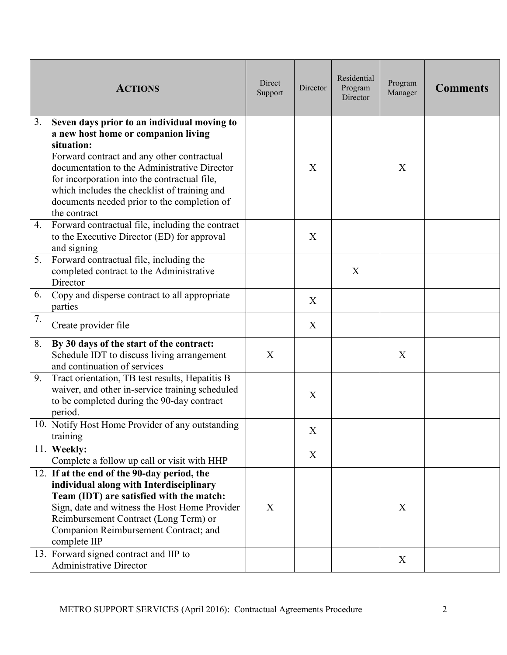|    | <b>ACTIONS</b>                                                                                                                                                                                                                                                                                                                                                | Direct<br>Support | Director | Residential<br>Program<br>Director | Program<br>Manager | <b>Comments</b> |
|----|---------------------------------------------------------------------------------------------------------------------------------------------------------------------------------------------------------------------------------------------------------------------------------------------------------------------------------------------------------------|-------------------|----------|------------------------------------|--------------------|-----------------|
| 3. | Seven days prior to an individual moving to<br>a new host home or companion living<br>situation:<br>Forward contract and any other contractual<br>documentation to the Administrative Director<br>for incorporation into the contractual file,<br>which includes the checklist of training and<br>documents needed prior to the completion of<br>the contract |                   | X        |                                    | X                  |                 |
| 4. | Forward contractual file, including the contract<br>to the Executive Director (ED) for approval<br>and signing                                                                                                                                                                                                                                                |                   | X        |                                    |                    |                 |
| 5. | Forward contractual file, including the<br>completed contract to the Administrative<br>Director                                                                                                                                                                                                                                                               |                   |          | X                                  |                    |                 |
| 6. | Copy and disperse contract to all appropriate<br>parties                                                                                                                                                                                                                                                                                                      |                   | X        |                                    |                    |                 |
| 7. | Create provider file                                                                                                                                                                                                                                                                                                                                          |                   | X        |                                    |                    |                 |
| 8. | By 30 days of the start of the contract:<br>Schedule IDT to discuss living arrangement<br>and continuation of services                                                                                                                                                                                                                                        | X                 |          |                                    | X                  |                 |
| 9. | Tract orientation, TB test results, Hepatitis B<br>waiver, and other in-service training scheduled<br>to be completed during the 90-day contract<br>period.                                                                                                                                                                                                   |                   | X        |                                    |                    |                 |
|    | 10. Notify Host Home Provider of any outstanding<br>training                                                                                                                                                                                                                                                                                                  |                   | X        |                                    |                    |                 |
|    | 11. Weekly:<br>Complete a follow up call or visit with HHP                                                                                                                                                                                                                                                                                                    |                   | X        |                                    |                    |                 |
|    | 12. If at the end of the 90-day period, the<br>individual along with Interdisciplinary<br>Team (IDT) are satisfied with the match:<br>Sign, date and witness the Host Home Provider<br>Reimbursement Contract (Long Term) or<br>Companion Reimbursement Contract; and<br>complete IIP                                                                         | X                 |          |                                    | X                  |                 |
|    | 13. Forward signed contract and IIP to<br><b>Administrative Director</b>                                                                                                                                                                                                                                                                                      |                   |          |                                    | X                  |                 |